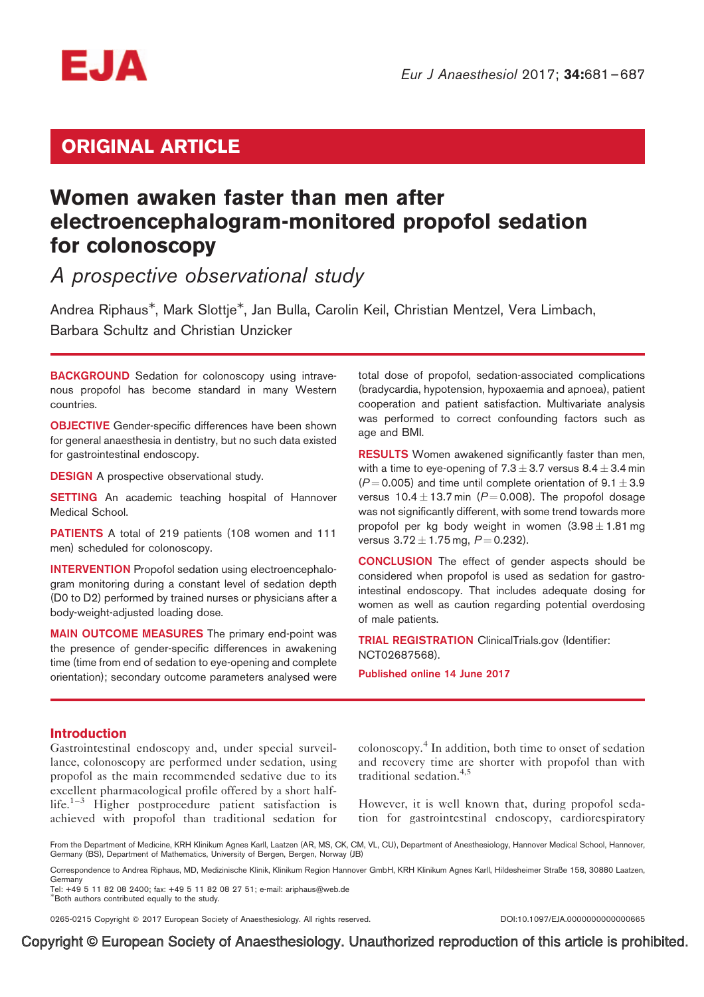

# ORIGINAL ARTICLE

# Women awaken faster than men after electroencephalogram-monitored propofol sedation for colonoscopy

A prospective observational study

Andrea Riphaus<sup>\*</sup>, Mark Slottje<sup>\*</sup>, Jan Bulla, Carolin Keil, Christian Mentzel, Vera Limbach, Barbara Schultz and Christian Unzicker

BACKGROUND Sedation for colonoscopy using intravenous propofol has become standard in many Western countries.

**OBJECTIVE** Gender-specific differences have been shown for general anaesthesia in dentistry, but no such data existed for gastrointestinal endoscopy.

**DESIGN** A prospective observational study.

**SETTING** An academic teaching hospital of Hannover Medical School.

PATIENTS A total of 219 patients (108 women and 111 men) scheduled for colonoscopy.

INTERVENTION Propofol sedation using electroencephalogram monitoring during a constant level of sedation depth (D0 to D2) performed by trained nurses or physicians after a body-weight-adjusted loading dose.

MAIN OUTCOME MEASURES The primary end-point was the presence of gender-specific differences in awakening time (time from end of sedation to eye-opening and complete orientation); secondary outcome parameters analysed were total dose of propofol, sedation-associated complications (bradycardia, hypotension, hypoxaemia and apnoea), patient cooperation and patient satisfaction. Multivariate analysis was performed to correct confounding factors such as age and BMI.

RESULTS Women awakened significantly faster than men, with a time to eye-opening of  $7.3 \pm 3.7$  versus  $8.4 \pm 3.4$  min  $(P = 0.005)$  and time until complete orientation of  $9.1 \pm 3.9$ versus  $10.4 \pm 13.7$  min (P = 0.008). The propofol dosage was not significantly different, with some trend towards more propofol per kg body weight in women  $(3.98 \pm 1.81 \text{ mg})$ versus  $3.72 \pm 1.75$  mg,  $P = 0.232$ ).

CONCLUSION The effect of gender aspects should be considered when propofol is used as sedation for gastrointestinal endoscopy. That includes adequate dosing for women as well as caution regarding potential overdosing of male patients.

TRIAL REGISTRATION ClinicalTrials.gov (Identifier: NCT02687568).

Published online 14 June 2017

# Introduction

Gastrointestinal endoscopy and, under special surveillance, colonoscopy are performed under sedation, using propofol as the main recommended sedative due to its excellent pharmacological profile offered by a short halflife. $1-3$  Higher postprocedure patient satisfaction is achieved with propofol than traditional sedation for

colonoscopy.<sup>4</sup> In addition, both time to onset of sedation and recovery time are shorter with propofol than with traditional sedation.4,5

However, it is well known that, during propofol sedation for gastrointestinal endoscopy, cardiorespiratory

From the Department of Medicine, KRH Klinikum Agnes Karll, Laatzen (AR, MS, CK, CM, VL, CU), Department of Anesthesiology, Hannover Medical School, Hannover, Germany (BS), Department of Mathematics, University of Bergen, Bergen, Norway (JB)

Correspondence to Andrea Riphaus, MD, Medizinische Klinik, Klinikum Region Hannover GmbH, KRH Klinikum Agnes Karll, Hildesheimer Straße 158, 30880 Laatzen, Germany

Tel: +49 5 11 82 08 2400; fax: +49 5 11 82 08 27 51; e-mail: ariphaus@web.de

# Both authors contributed equally to the study.

0265-0215 Copyright @ 2017 European Society of Anaesthesiology. All rights reserved. DOI:10.1097/EJA.000000000000000665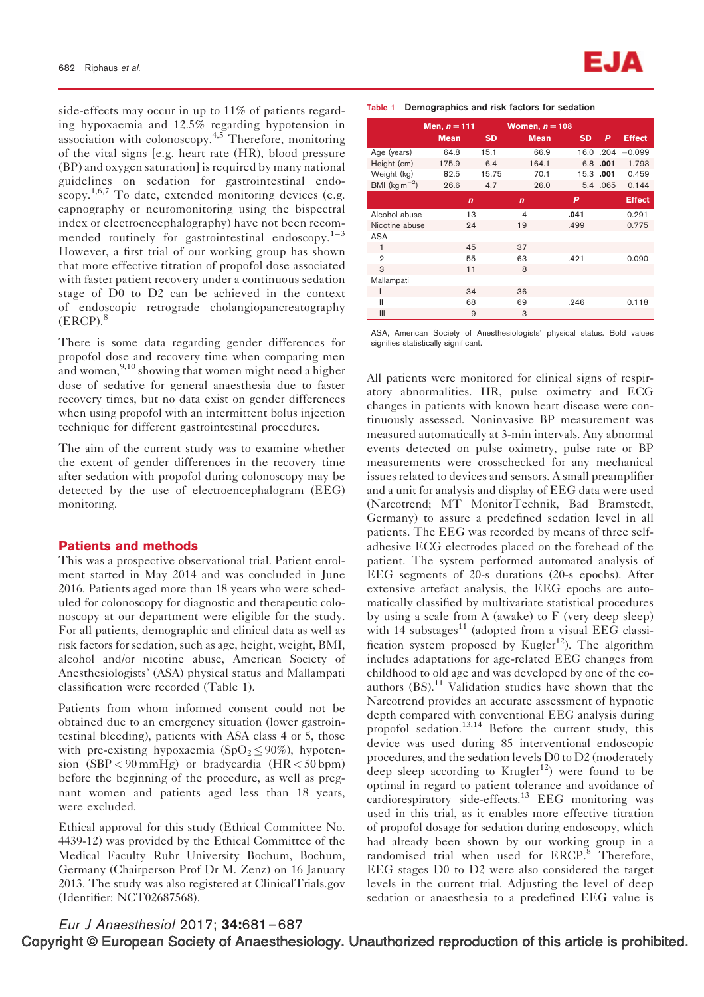side-effects may occur in up to 11% of patients regarding hypoxaemia and 12.5% regarding hypotension in association with colonoscopy.<sup>4,5</sup> Therefore, monitoring of the vital signs [e.g. heart rate (HR), blood pressure (BP) and oxygen saturation] is required by many national guidelines on sedation for gastrointestinal endo- $\sum_{n=1}^{\infty}$  To date, extended monitoring devices (e.g. capnography or neuromonitoring using the bispectral index or electroencephalography) have not been recommended routinely for gastrointestinal endoscopy. $1-3$ However, a first trial of our working group has shown that more effective titration of propofol dose associated with faster patient recovery under a continuous sedation stage of D0 to D2 can be achieved in the context of endoscopic retrograde cholangiopancreatography  $(ERCP).$ <sup>8</sup>

There is some data regarding gender differences for propofol dose and recovery time when comparing men and women,  $9,10$  showing that women might need a higher dose of sedative for general anaesthesia due to faster recovery times, but no data exist on gender differences when using propofol with an intermittent bolus injection technique for different gastrointestinal procedures.

The aim of the current study was to examine whether the extent of gender differences in the recovery time after sedation with propofol during colonoscopy may be detected by the use of electroencephalogram (EEG) monitoring.

#### Patients and methods

This was a prospective observational trial. Patient enrolment started in May 2014 and was concluded in June 2016. Patients aged more than 18 years who were scheduled for colonoscopy for diagnostic and therapeutic colonoscopy at our department were eligible for the study. For all patients, demographic and clinical data as well as risk factors for sedation, such as age, height, weight, BMI, alcohol and/or nicotine abuse, American Society of Anesthesiologists' (ASA) physical status and Mallampati classification were recorded (Table 1).

Patients from whom informed consent could not be obtained due to an emergency situation (lower gastrointestinal bleeding), patients with ASA class 4 or 5, those with pre-existing hypoxaemia (SpO<sub>2</sub> $\leq$ 90%), hypotension  $(SBP < 90 \text{ mmHg})$  or bradycardia  $(HR < 50 \text{ bpm})$ before the beginning of the procedure, as well as pregnant women and patients aged less than 18 years, were excluded.

Ethical approval for this study (Ethical Committee No. 4439-12) was provided by the Ethical Committee of the Medical Faculty Ruhr University Bochum, Bochum, Germany (Chairperson Prof Dr M. Zenz) on 16 January 2013. The study was also registered at ClinicalTrials.gov (Identifier: NCT02687568).

|                            | Men, $n = 111$<br><b>Mean</b> | <b>SD</b> | Women, $n = 108$<br><b>Mean</b> | <b>SD</b> | P         | <b>Effect</b> |
|----------------------------|-------------------------------|-----------|---------------------------------|-----------|-----------|---------------|
| Age (years)                | 64.8                          | 15.1      | 66.9                            |           | 16.0.204  | $-0.099$      |
| Height (cm)                | 175.9                         | 6.4       | 164.1                           | 6.8       | .001      | 1.793         |
| Weight (kg)                | 82.5                          | 15.75     | 70.1                            |           | 15.3 .001 | 0.459         |
| BMI ( $\text{kg m}^{-2}$ ) | 26.6                          | 4.7       | 26.0                            |           | 5.4 .065  | 0.144         |
|                            | $\mathbf n$                   |           | n                               | P         |           | <b>Effect</b> |
| Alcohol abuse              | 13                            |           | $\overline{4}$                  | .041      |           | 0.291         |
| Nicotine abuse             | 24                            |           | 19                              | .499      |           | 0.775         |
| ASA                        |                               |           |                                 |           |           |               |
| 1                          | 45                            |           | 37                              |           |           |               |
| $\overline{2}$             | 55                            |           | 63                              | .421      |           | 0.090         |
| 3                          | 11                            |           | 8                               |           |           |               |
| Mallampati                 |                               |           |                                 |           |           |               |
| ı                          | 34                            |           | 36                              |           |           |               |
| Ш                          | 68                            |           | 69                              | .246      |           | 0.118         |
| Ш                          | 9                             |           | 3                               |           |           |               |

ASA, American Society of Anesthesiologists' physical status. Bold values signifies statistically significant.

All patients were monitored for clinical signs of respiratory abnormalities. HR, pulse oximetry and ECG changes in patients with known heart disease were continuously assessed. Noninvasive BP measurement was measured automatically at 3-min intervals. Any abnormal events detected on pulse oximetry, pulse rate or BP measurements were crosschecked for any mechanical issues related to devices and sensors. A small preamplifier and a unit for analysis and display of EEG data were used (Narcotrend; MT MonitorTechnik, Bad Bramstedt, Germany) to assure a predefined sedation level in all patients. The EEG was recorded by means of three selfadhesive ECG electrodes placed on the forehead of the patient. The system performed automated analysis of EEG segments of 20-s durations (20-s epochs). After extensive artefact analysis, the EEG epochs are automatically classified by multivariate statistical procedures by using a scale from A (awake) to F (very deep sleep) with  $14$  substages<sup>11</sup> (adopted from a visual EEG classification system proposed by Kugler<sup>12</sup>). The algorithm includes adaptations for age-related EEG changes from childhood to old age and was developed by one of the coauthors (BS).<sup>11</sup> Validation studies have shown that the Narcotrend provides an accurate assessment of hypnotic depth compared with conventional EEG analysis during propofol sedation.13,14 Before the current study, this device was used during 85 interventional endoscopic procedures, and the sedation levels D0 to D2 (moderately deep sleep according to  $Krugler<sup>12</sup>$  were found to be optimal in regard to patient tolerance and avoidance of cardiorespiratory side-effects.<sup>13</sup> EEG monitoring was used in this trial, as it enables more effective titration of propofol dosage for sedation during endoscopy, which had already been shown by our working group in a randomised trial when used for ERCP.<sup>8</sup> Therefore, EEG stages D0 to D2 were also considered the target levels in the current trial. Adjusting the level of deep sedation or anaesthesia to a predefined EEG value is

Eur J Anaesthesiol 2017; 34:681–687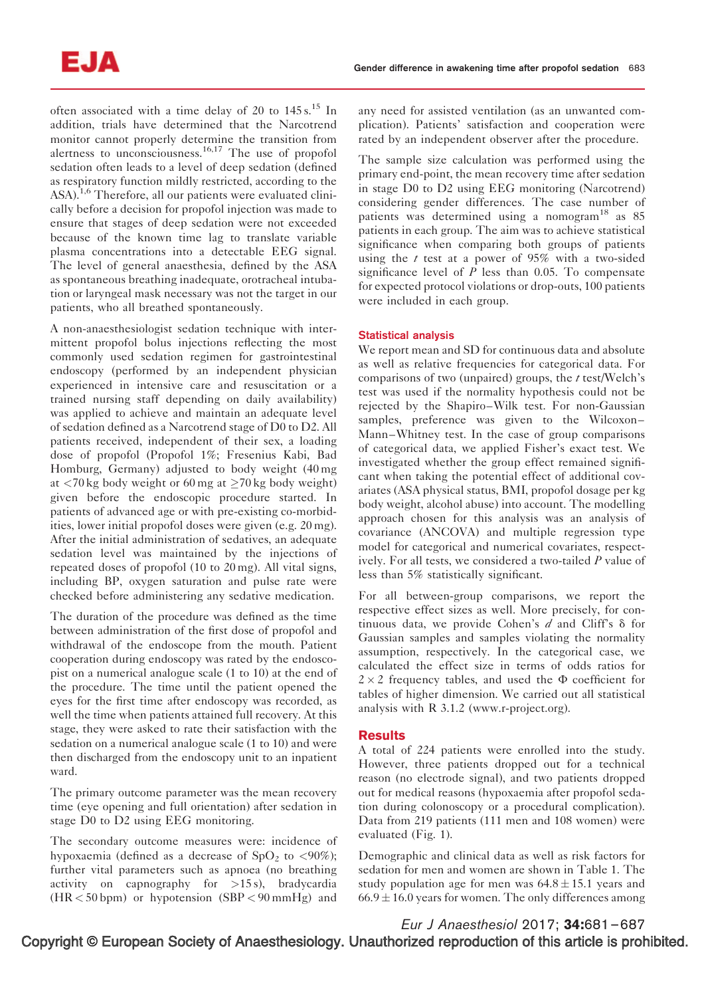often associated with a time delay of 20 to  $145 s<sup>15</sup>$  In addition, trials have determined that the Narcotrend monitor cannot properly determine the transition from alertness to unconsciousness.<sup>16,17</sup> The use of propofol sedation often leads to a level of deep sedation (defined as respiratory function mildly restricted, according to the ASA).<sup>1,6</sup> Therefore, all our patients were evaluated clinically before a decision for propofol injection was made to ensure that stages of deep sedation were not exceeded because of the known time lag to translate variable plasma concentrations into a detectable EEG signal. The level of general anaesthesia, defined by the ASA as spontaneous breathing inadequate, orotracheal intubation or laryngeal mask necessary was not the target in our patients, who all breathed spontaneously.

A non-anaesthesiologist sedation technique with intermittent propofol bolus injections reflecting the most commonly used sedation regimen for gastrointestinal endoscopy (performed by an independent physician experienced in intensive care and resuscitation or a trained nursing staff depending on daily availability) was applied to achieve and maintain an adequate level of sedation defined as a Narcotrend stage of D0 to D2. All patients received, independent of their sex, a loading dose of propofol (Propofol 1%; Fresenius Kabi, Bad Homburg, Germany) adjusted to body weight (40 mg at  $\langle 70 \text{ kg}$  body weight or 60 mg at  $\geq 70 \text{ kg}$  body weight) given before the endoscopic procedure started. In patients of advanced age or with pre-existing co-morbidities, lower initial propofol doses were given (e.g. 20 mg). After the initial administration of sedatives, an adequate sedation level was maintained by the injections of repeated doses of propofol (10 to 20 mg). All vital signs, including BP, oxygen saturation and pulse rate were checked before administering any sedative medication.

The duration of the procedure was defined as the time between administration of the first dose of propofol and withdrawal of the endoscope from the mouth. Patient cooperation during endoscopy was rated by the endoscopist on a numerical analogue scale (1 to 10) at the end of the procedure. The time until the patient opened the eyes for the first time after endoscopy was recorded, as well the time when patients attained full recovery. At this stage, they were asked to rate their satisfaction with the sedation on a numerical analogue scale (1 to 10) and were then discharged from the endoscopy unit to an inpatient ward.

The primary outcome parameter was the mean recovery time (eye opening and full orientation) after sedation in stage D0 to D2 using EEG monitoring.

The secondary outcome measures were: incidence of hypoxaemia (defined as a decrease of  $SpO<sub>2</sub>$  to  $\lt{90\%}$ ); further vital parameters such as apnoea (no breathing activity on capnography for >15 s), bradycardia (HR < 50 bpm) or hypotension (SBP < 90 mmHg) and

any need for assisted ventilation (as an unwanted complication). Patients' satisfaction and cooperation were rated by an independent observer after the procedure.

The sample size calculation was performed using the primary end-point, the mean recovery time after sedation in stage D0 to D2 using EEG monitoring (Narcotrend) considering gender differences. The case number of patients was determined using a nomogram<sup>18</sup> as  $85$ patients in each group. The aim was to achieve statistical significance when comparing both groups of patients using the  $t$  test at a power of 95% with a two-sided significance level of  $P$  less than 0.05. To compensate for expected protocol violations or drop-outs, 100 patients were included in each group.

## Statistical analysis

We report mean and SD for continuous data and absolute as well as relative frequencies for categorical data. For comparisons of two (unpaired) groups, the  $t$  test/Welch's test was used if the normality hypothesis could not be rejected by the Shapiro–Wilk test. For non-Gaussian samples, preference was given to the Wilcoxon– Mann–Whitney test. In the case of group comparisons of categorical data, we applied Fisher's exact test. We investigated whether the group effect remained significant when taking the potential effect of additional covariates (ASA physical status, BMI, propofol dosage per kg body weight, alcohol abuse) into account. The modelling approach chosen for this analysis was an analysis of covariance (ANCOVA) and multiple regression type model for categorical and numerical covariates, respectively. For all tests, we considered a two-tailed P value of less than 5% statistically significant.

For all between-group comparisons, we report the respective effect sizes as well. More precisely, for continuous data, we provide Cohen's  $d$  and Cliff's  $\delta$  for Gaussian samples and samples violating the normality assumption, respectively. In the categorical case, we calculated the effect size in terms of odds ratios for  $2 \times 2$  frequency tables, and used the  $\Phi$  coefficient for tables of higher dimension. We carried out all statistical analysis with R 3.1.2 (www.r-project.org).

# **Results**

A total of 224 patients were enrolled into the study. However, three patients dropped out for a technical reason (no electrode signal), and two patients dropped out for medical reasons (hypoxaemia after propofol sedation during colonoscopy or a procedural complication). Data from 219 patients (111 men and 108 women) were evaluated (Fig. 1).

Demographic and clinical data as well as risk factors for sedation for men and women are shown in Table 1. The study population age for men was  $64.8 \pm 15.1$  years and  $66.9 \pm 16.0$  years for women. The only differences among

Copyright © European Society of Anaesthesiology. Unauthorized reproduction of this article is prohibited. Eur J Anaesthesiol 2017; 34:681–687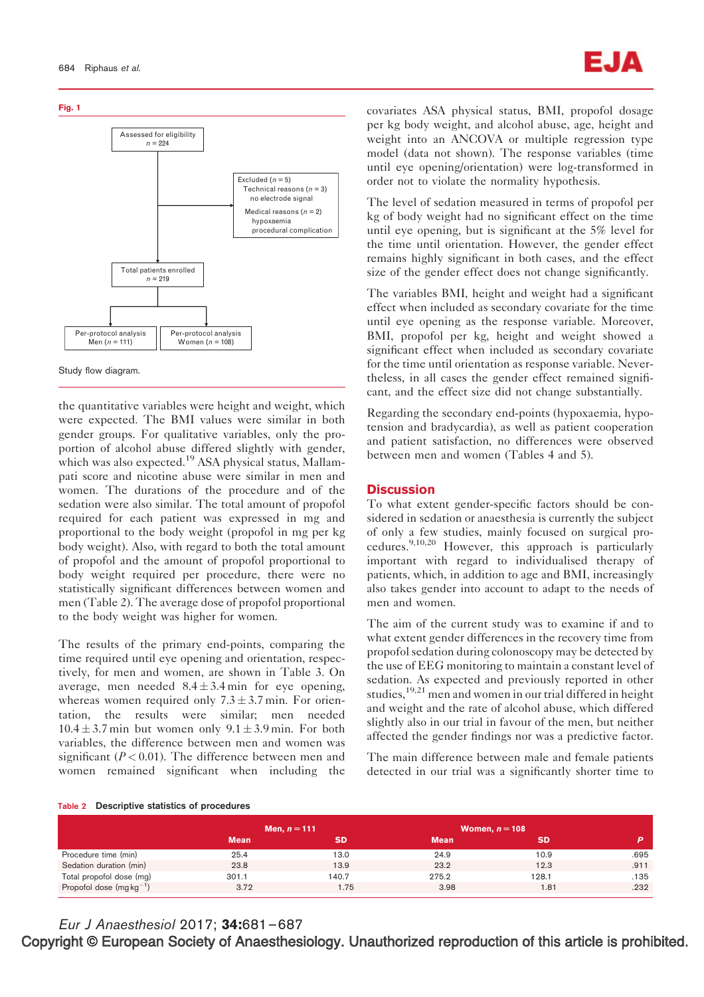

the quantitative variables were height and weight, which were expected. The BMI values were similar in both gender groups. For qualitative variables, only the proportion of alcohol abuse differed slightly with gender, which was also expected.<sup>19</sup> ASA physical status, Mallampati score and nicotine abuse were similar in men and women. The durations of the procedure and of the sedation were also similar. The total amount of propofol required for each patient was expressed in mg and proportional to the body weight (propofol in mg per kg body weight). Also, with regard to both the total amount of propofol and the amount of propofol proportional to body weight required per procedure, there were no statistically significant differences between women and men (Table 2). The average dose of propofol proportional to the body weight was higher for women.

The results of the primary end-points, comparing the time required until eye opening and orientation, respectively, for men and women, are shown in Table 3. On average, men needed  $8.4 \pm 3.4$  min for eye opening, whereas women required only  $7.3 \pm 3.7$  min. For orientation, the results were similar; men needed  $10.4 \pm 3.7$  min but women only  $9.1 \pm 3.9$  min. For both variables, the difference between men and women was significant ( $P < 0.01$ ). The difference between men and women remained significant when including the covariates ASA physical status, BMI, propofol dosage per kg body weight, and alcohol abuse, age, height and weight into an ANCOVA or multiple regression type model (data not shown). The response variables (time until eye opening/orientation) were log-transformed in order not to violate the normality hypothesis.

The level of sedation measured in terms of propofol per kg of body weight had no significant effect on the time until eye opening, but is significant at the 5% level for the time until orientation. However, the gender effect remains highly significant in both cases, and the effect size of the gender effect does not change significantly.

The variables BMI, height and weight had a significant effect when included as secondary covariate for the time until eye opening as the response variable. Moreover, BMI, propofol per kg, height and weight showed a significant effect when included as secondary covariate for the time until orientation as response variable. Nevertheless, in all cases the gender effect remained significant, and the effect size did not change substantially.

Regarding the secondary end-points (hypoxaemia, hypotension and bradycardia), as well as patient cooperation and patient satisfaction, no differences were observed between men and women (Tables 4 and 5).

# **Discussion**

To what extent gender-specific factors should be considered in sedation or anaesthesia is currently the subject of only a few studies, mainly focused on surgical procedures.9,10,20 However, this approach is particularly important with regard to individualised therapy of patients, which, in addition to age and BMI, increasingly also takes gender into account to adapt to the needs of men and women.

The aim of the current study was to examine if and to what extent gender differences in the recovery time from propofol sedation during colonoscopy may be detected by the use of EEG monitoring to maintain a constant level of sedation. As expected and previously reported in other studies,  $19,21$  men and women in our trial differed in height and weight and the rate of alcohol abuse, which differed slightly also in our trial in favour of the men, but neither affected the gender findings nor was a predictive factor.

The main difference between male and female patients detected in our trial was a significantly shorter time to

#### Table 2 Descriptive statistics of procedures

|                                 | Men, $n = 111$ |       |             | Women, $n = 108$ |      |  |
|---------------------------------|----------------|-------|-------------|------------------|------|--|
|                                 | <b>Mean</b>    |       | <b>Mean</b> |                  |      |  |
| Procedure time (min)            | 25.4           | 13.0  | 24.9        | 10.9             | .695 |  |
| Sedation duration (min)         | 23.8           | 13.9  | 23.2        | 12.3             | .911 |  |
| Total propofol dose (mg)        | 301.1          | 140.7 | 275.2       | 128.1            | .135 |  |
| Propofol dose $(mg \, kg^{-1})$ | 3.72           | l.75  | 3.98        | 1.81             | .232 |  |

Eur J Anaesthesiol 2017; 34:681–687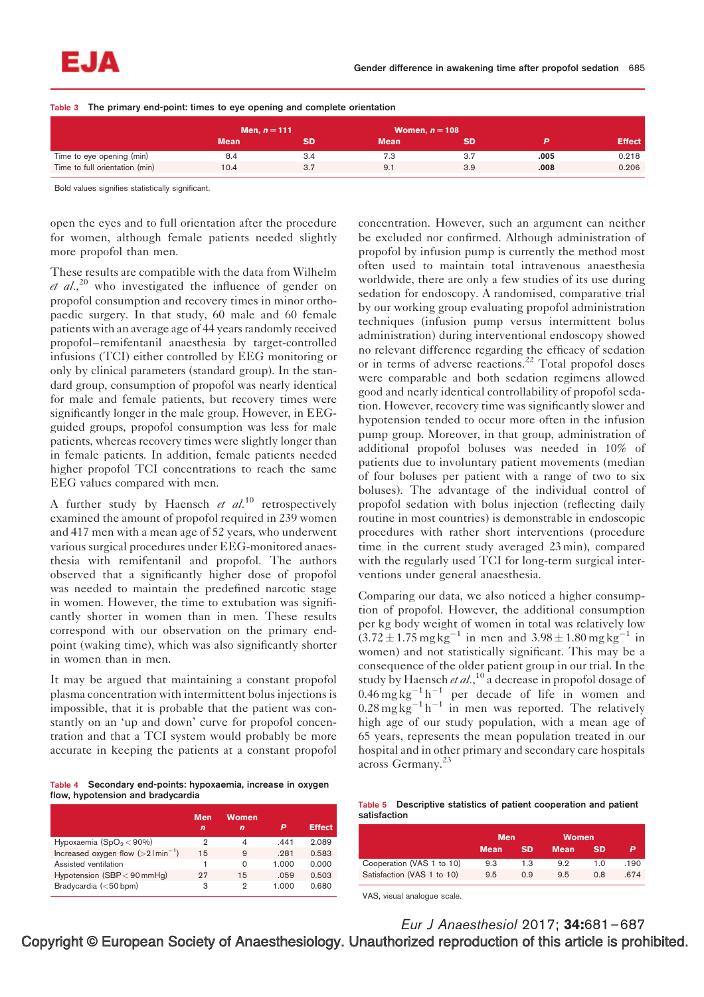Table 3 The primary end-point: times to eye opening and complete orientation

|                                | Men, $n = 111$ |     | Women, $n = 108$ |     |      |               |
|--------------------------------|----------------|-----|------------------|-----|------|---------------|
|                                | <b>Mean</b>    | SD  | <b>Mean</b>      |     |      | <b>Effect</b> |
| Time to eye opening (min)      | 8.4            | 3.4 | 7.3              | 3.7 | .005 | 0.218         |
| Time to full orientation (min) | 10.4           | 3.7 | 9.7              | 3.9 | .008 | 0.206         |

Bold values signifies statistically significant.

open the eyes and to full orientation after the procedure for women, although female patients needed slightly more propofol than men.

These results are compatible with the data from Wilhelm et  $al$ ,<sup>20</sup> who investigated the influence of gender on propofol consumption and recovery times in minor orthopaedic surgery. In that study, 60 male and 60 female patients with an average age of 44 years randomly received propofol–remifentanil anaesthesia by target-controlled infusions (TCI) either controlled by EEG monitoring or only by clinical parameters (standard group). In the standard group, consumption of propofol was nearly identical for male and female patients, but recovery times were significantly longer in the male group. However, in EEGguided groups, propofol consumption was less for male patients, whereas recovery times were slightly longer than in female patients. In addition, female patients needed higher propofol TCI concentrations to reach the same EEG values compared with men.

A further study by Haensch et  $al^{10}$  retrospectively examined the amount of propofol required in 239 women and 417 men with a mean age of 52 years, who underwent various surgical procedures under EEG-monitored anaesthesia with remifentanil and propofol. The authors observed that a significantly higher dose of propofol was needed to maintain the predefined narcotic stage in women. However, the time to extubation was significantly shorter in women than in men. These results correspond with our observation on the primary endpoint (waking time), which was also significantly shorter in women than in men.

It may be argued that maintaining a constant propofol plasma concentration with intermittent bolus injections is impossible, that it is probable that the patient was constantly on an 'up and down' curve for propofol concentration and that a TCI system would probably be more accurate in keeping the patients at a constant propofol

Table 4 Secondary end-points: hypoxaemia, increase in oxygen flow, hypotension and bradycardia

|                                                  | <b>Men</b><br>n | <b>Women</b><br>n | P     | <b>Effect</b> |
|--------------------------------------------------|-----------------|-------------------|-------|---------------|
| Hypoxaemia $(SpO2< 90%)$                         | 2               | 4                 | .441  | 2.089         |
| Increased oxygen flow $(>21$ min <sup>-1</sup> ) | 15              | 9                 | .281  | 0.583         |
| Assisted ventilation                             |                 | O                 | 1.000 | 0.000         |
| Hypotension (SBP < 90 mmHg)                      | 27              | 15                | .059  | 0.503         |
| Bradycardia $(<50$ bpm)                          | з               | 2                 | 1.000 | 0.680         |

concentration. However, such an argument can neither be excluded nor confirmed. Although administration of propofol by infusion pump is currently the method most often used to maintain total intravenous anaesthesia worldwide, there are only a few studies of its use during sedation for endoscopy. A randomised, comparative trial by our working group evaluating propofol administration techniques (infusion pump versus intermittent bolus administration) during interventional endoscopy showed no relevant difference regarding the efficacy of sedation or in terms of adverse reactions.<sup>22</sup> Total propofol doses were comparable and both sedation regimens allowed good and nearly identical controllability of propofol sedation. However, recovery time was significantly slower and hypotension tended to occur more often in the infusion pump group. Moreover, in that group, administration of additional propofol boluses was needed in 10% of patients due to involuntary patient movements (median of four boluses per patient with a range of two to six boluses). The advantage of the individual control of propofol sedation with bolus injection (reflecting daily routine in most countries) is demonstrable in endoscopic procedures with rather short interventions (procedure time in the current study averaged 23 min), compared with the regularly used TCI for long-term surgical interventions under general anaesthesia.

Comparing our data, we also noticed a higher consumption of propofol. However, the additional consumption per kg body weight of women in total was relatively low  $(3.72 \pm 1.75 \text{ mg kg}^{-1} \text{ in men and } 3.98 \pm 1.80 \text{ mg kg}^{-1} \text{ in}$ women) and not statistically significant. This may be a consequence of the older patient group in our trial. In the study by Haensch et al.,  $^{10}$  a decrease in propofol dosage of 0.46 mg kg<sup>-1</sup> h<sup>-1</sup> per decade of life in women and  $0.28 \text{ mg} \text{ kg}^{-1} \text{ h}^{-1}$  in men was reported. The relatively high age of our study population, with a mean age of 65 years, represents the mean population treated in our hospital and in other primary and secondary care hospitals across Germany.<sup>23</sup>

|              |  |  | Table 5 Descriptive statistics of patient cooperation and patient |  |
|--------------|--|--|-------------------------------------------------------------------|--|
| satisfaction |  |  |                                                                   |  |

|                            | <b>Men</b>  |           | <b>Women</b> |           |      |
|----------------------------|-------------|-----------|--------------|-----------|------|
|                            | <b>Mean</b> | <b>SD</b> | Mean         | <b>SD</b> |      |
| Cooperation (VAS 1 to 10)  | 9.3         | 1.3       | 9.2          | 1.0       | .190 |
| Satisfaction (VAS 1 to 10) | 9.5         | 0.9       | 9.5          | 0.8       | .674 |

VAS, visual analogue scale.

Eur J Anaesthesiol 2017; 34:681–687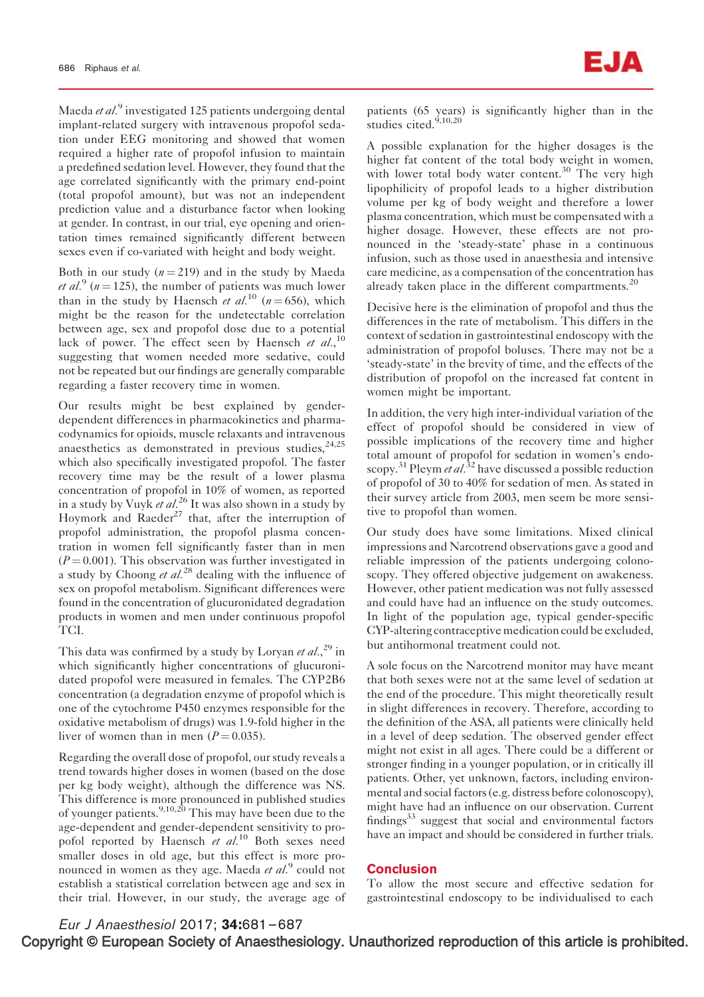Maeda et al.<sup>9</sup> investigated 125 patients undergoing dental implant-related surgery with intravenous propofol sedation under EEG monitoring and showed that women required a higher rate of propofol infusion to maintain a predefined sedation level. However, they found that the age correlated significantly with the primary end-point (total propofol amount), but was not an independent prediction value and a disturbance factor when looking at gender. In contrast, in our trial, eye opening and orientation times remained significantly different between sexes even if co-variated with height and body weight.

Both in our study  $(n = 219)$  and in the study by Maeda *et al.*<sup>9</sup> ( $n = 125$ ), the number of patients was much lower than in the study by Haensch et al.<sup>10</sup> ( $n = 656$ ), which might be the reason for the undetectable correlation between age, sex and propofol dose due to a potential lack of power. The effect seen by Haensch et  $al$ ,  $10$ , suggesting that women needed more sedative, could not be repeated but our findings are generally comparable regarding a faster recovery time in women.

Our results might be best explained by genderdependent differences in pharmacokinetics and pharmacodynamics for opioids, muscle relaxants and intravenous anaesthetics as demonstrated in previous studies,  $24,25$ which also specifically investigated propofol. The faster recovery time may be the result of a lower plasma concentration of propofol in 10% of women, as reported in a study by Vuyk et al.<sup>26</sup> It was also shown in a study by Hoymork and Raeder<sup>27</sup> that, after the interruption of propofol administration, the propofol plasma concentration in women fell significantly faster than in men  $(P = 0.001)$ . This observation was further investigated in a study by Choong et  $al^{28}$  dealing with the influence of sex on propofol metabolism. Significant differences were found in the concentration of glucuronidated degradation products in women and men under continuous propofol TCI.

This data was confirmed by a study by Loryan et al.,<sup>29</sup> in which significantly higher concentrations of glucuronidated propofol were measured in females. The CYP2B6 concentration (a degradation enzyme of propofol which is one of the cytochrome P450 enzymes responsible for the oxidative metabolism of drugs) was 1.9-fold higher in the liver of women than in men  $(P = 0.035)$ .

Regarding the overall dose of propofol, our study reveals a trend towards higher doses in women (based on the dose per kg body weight), although the difference was NS. This difference is more pronounced in published studies of younger patients.<sup>9,10,20</sup> This may have been due to the age-dependent and gender-dependent sensitivity to propofol reported by Haensch  $et \ al^{10}$  Both sexes need smaller doses in old age, but this effect is more pronounced in women as they age. Maeda  $et al.^9$  could not establish a statistical correlation between age and sex in their trial. However, in our study, the average age of patients (65 years) is significantly higher than in the studies cited.<sup>9,10,20</sup>

A possible explanation for the higher dosages is the higher fat content of the total body weight in women, with lower total body water content. $30$  The very high lipophilicity of propofol leads to a higher distribution volume per kg of body weight and therefore a lower plasma concentration, which must be compensated with a higher dosage. However, these effects are not pronounced in the 'steady-state' phase in a continuous infusion, such as those used in anaesthesia and intensive care medicine, as a compensation of the concentration has already taken place in the different compartments.<sup>20</sup>

Decisive here is the elimination of propofol and thus the differences in the rate of metabolism. This differs in the context of sedation in gastrointestinal endoscopy with the administration of propofol boluses. There may not be a 'steady-state' in the brevity of time, and the effects of the distribution of propofol on the increased fat content in women might be important.

In addition, the very high inter-individual variation of the effect of propofol should be considered in view of possible implications of the recovery time and higher total amount of propofol for sedation in women's endoscopy.<sup>31</sup> Pleym *et al.*<sup>32</sup> have discussed a possible reduction of propofol of 30 to 40% for sedation of men. As stated in their survey article from 2003, men seem be more sensitive to propofol than women.

Our study does have some limitations. Mixed clinical impressions and Narcotrend observations gave a good and reliable impression of the patients undergoing colonoscopy. They offered objective judgement on awakeness. However, other patient medication was not fully assessed and could have had an influence on the study outcomes. In light of the population age, typical gender-specific CYP-altering contraceptive medication could be excluded, but antihormonal treatment could not.

A sole focus on the Narcotrend monitor may have meant that both sexes were not at the same level of sedation at the end of the procedure. This might theoretically result in slight differences in recovery. Therefore, according to the definition of the ASA, all patients were clinically held in a level of deep sedation. The observed gender effect might not exist in all ages. There could be a different or stronger finding in a younger population, or in critically ill patients. Other, yet unknown, factors, including environmental and social factors (e.g. distress before colonoscopy), might have had an influence on our observation. Current findings $33$  suggest that social and environmental factors have an impact and should be considered in further trials.

## **Conclusion**

To allow the most secure and effective sedation for gastrointestinal endoscopy to be individualised to each

Copyright © European Society of Anaesthesiology. Unauthorized reproduction of this article is prohibited. Eur J Anaesthesiol 2017; 34:681–687